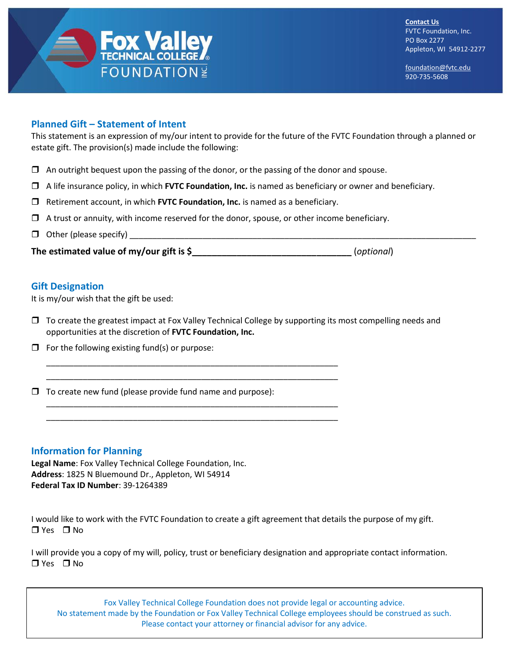

[foundation@fvtc.edu](mailto:foundation@fvtc.edu) 920-735-5608

## **Planned Gift – Statement of Intent**

This statement is an expression of my/our intent to provide for the future of the FVTC Foundation through a planned or estate gift. The provision(s) made include the following:

- $\Box$  An outright bequest upon the passing of the donor, or the passing of the donor and spouse.
- A life insurance policy, in which **FVTC Foundation, Inc.** is named as beneficiary or owner and beneficiary.
- Retirement account, in which **FVTC Foundation, Inc.** is named as a beneficiary.

\_\_\_\_\_\_\_\_\_\_\_\_\_\_\_\_\_\_\_\_\_\_\_\_\_\_\_\_\_\_\_\_\_\_\_\_\_\_\_\_\_\_\_\_\_\_\_\_\_\_\_\_\_\_\_\_\_\_\_\_\_\_\_\_ \_\_\_\_\_\_\_\_\_\_\_\_\_\_\_\_\_\_\_\_\_\_\_\_\_\_\_\_\_\_\_\_\_\_\_\_\_\_\_\_\_\_\_\_\_\_\_\_\_\_\_\_\_\_\_\_\_\_\_\_\_\_\_\_

\_\_\_\_\_\_\_\_\_\_\_\_\_\_\_\_\_\_\_\_\_\_\_\_\_\_\_\_\_\_\_\_\_\_\_\_\_\_\_\_\_\_\_\_\_\_\_\_\_\_\_\_\_\_\_\_\_\_\_\_\_\_\_\_ \_\_\_\_\_\_\_\_\_\_\_\_\_\_\_\_\_\_\_\_\_\_\_\_\_\_\_\_\_\_\_\_\_\_\_\_\_\_\_\_\_\_\_\_\_\_\_\_\_\_\_\_\_\_\_\_\_\_\_\_\_\_\_\_

- $\Box$  A trust or annuity, with income reserved for the donor, spouse, or other income beneficiary.
- $\Box$  Other (please specify)  $\Box$

**The estimated value of my/our gift is \$\_\_\_\_\_\_\_\_\_\_\_\_\_\_\_\_\_\_\_\_\_\_\_\_\_\_\_\_\_\_\_\_** (*optional*)

## **Gift Designation**

It is my/our wish that the gift be used:

- $\Box$  To create the greatest impact at Fox Valley Technical College by supporting its most compelling needs and opportunities at the discretion of **FVTC Foundation, Inc.**
- $\Box$  For the following existing fund(s) or purpose:
- $\Box$  To create new fund (please provide fund name and purpose):

## **Information for Planning**

**Legal Name**: Fox Valley Technical College Foundation, Inc. **Address**: 1825 N Bluemound Dr., Appleton, WI 54914 **Federal Tax ID Number**: 39-1264389

I would like to work with the FVTC Foundation to create a gift agreement that details the purpose of my gift.  $\Box$  Yes  $\Box$  No

I will provide you a copy of my will, policy, trust or beneficiary designation and appropriate contact information.  $\Box$  Yes  $\Box$  No

Fox Valley Technical College Foundation does not provide legal or accounting advice. No statement made by the Foundation or Fox Valley Technical College employees should be construed as such. Please contact your attorney or financial advisor for any advice.